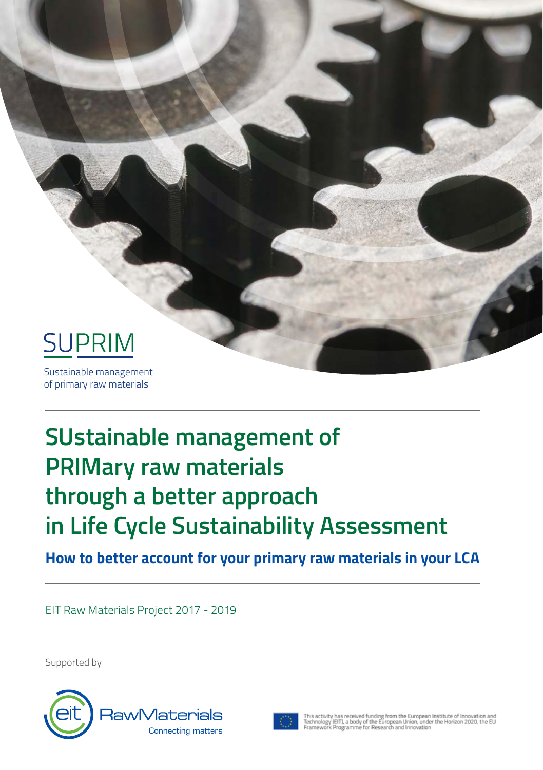

# **SUstainable management of PRIMary raw materials through a better approach in Life Cycle Sustainability Assessment**

**How to better account for your primary raw materials in your LCA**

EIT Raw Materials Project 2017 - 2019

Supported by





This activity has received funding from the European Institute of Innovation and<br>Technology (EIT), a body of the European Union, under the Horizon 2020, the EU<br>Framework Programme for Research and Innovation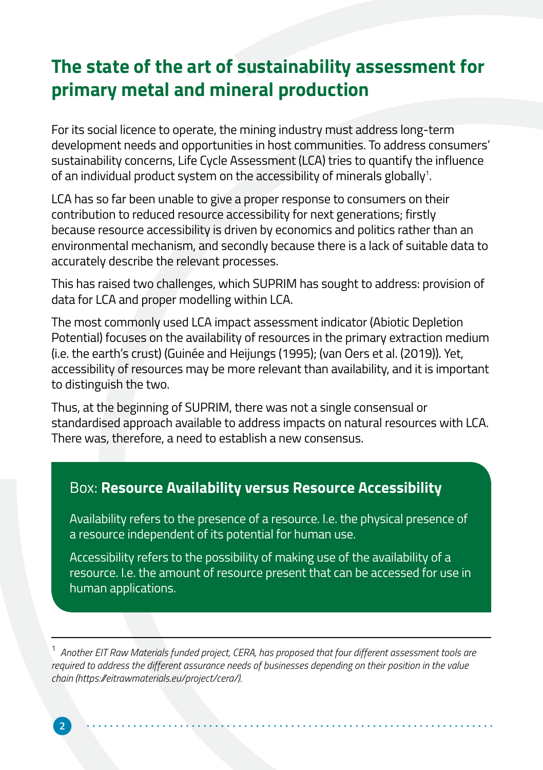## **The state of the art of sustainability assessment for primary metal and mineral production**

For its social licence to operate, the mining industry must address long-term development needs and opportunities in host communities. To address consumers' sustainability concerns, Life Cycle Assessment (LCA) tries to quantify the influence of an individual product system on the accessibility of minerals globally $^{\scriptscriptstyle 1}$ .

LCA has so far been unable to give a proper response to consumers on their contribution to reduced resource accessibility for next generations; firstly because resource accessibility is driven by economics and politics rather than an environmental mechanism, and secondly because there is a lack of suitable data to accurately describe the relevant processes.

This has raised two challenges, which SUPRIM has sought to address: provision of data for LCA and proper modelling within LCA.

The most commonly used LCA impact assessment indicator (Abiotic Depletion Potential) focuses on the availability of resources in the primary extraction medium (i.e. the earth's crust) (Guinée and Heijungs (1995); (van Oers et al. (2019)). Yet, accessibility of resources may be more relevant than availability, and it is important to distinguish the two.

Thus, at the beginning of SUPRIM, there was not a single consensual or standardised approach available to address impacts on natural resources with LCA. There was, therefore, a need to establish a new consensus.

#### Box: **Resource Availability versus Resource Accessibility**

Availability refers to the presence of a resource. I.e. the physical presence of a resource independent of its potential for human use.

Accessibility refers to the possibility of making use of the availability of a resource. I.e. the amount of resource present that can be accessed for use in human applications.

<sup>1</sup> *Another EIT Raw Materials funded project, CERA, has proposed that four different assessment tools are required to address the different assurance needs of businesses depending on their position in the value chain (https://eitrawmaterials.eu/project/cera/).*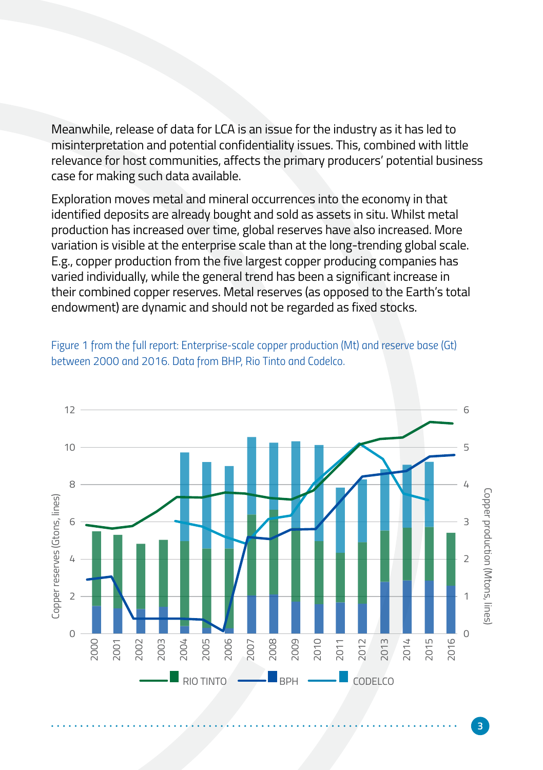Meanwhile, release of data for LCA is an issue for the industry as it has led to misinterpretation and potential confidentiality issues. This, combined with little relevance for host communities, affects the primary producers' potential business case for making such data available.

Exploration moves metal and mineral occurrences into the economy in that identified deposits are already bought and sold as assets in situ. Whilst metal production has increased over time, global reserves have also increased. More variation is visible at the enterprise scale than at the long-trending global scale. E.g., copper production from the five largest copper producing companies has varied individually, while the general trend has been a significant increase in their combined copper reserves. Metal reserves (as opposed to the Earth's total endowment) are dynamic and should not be regarded as fixed stocks.

*Figure 1 from the full report: Enterprise-scale copper production (Mt) and reserve base (Gt) between 2000 and 2016. Data from BHP, Rio Tinto and Codelco.*

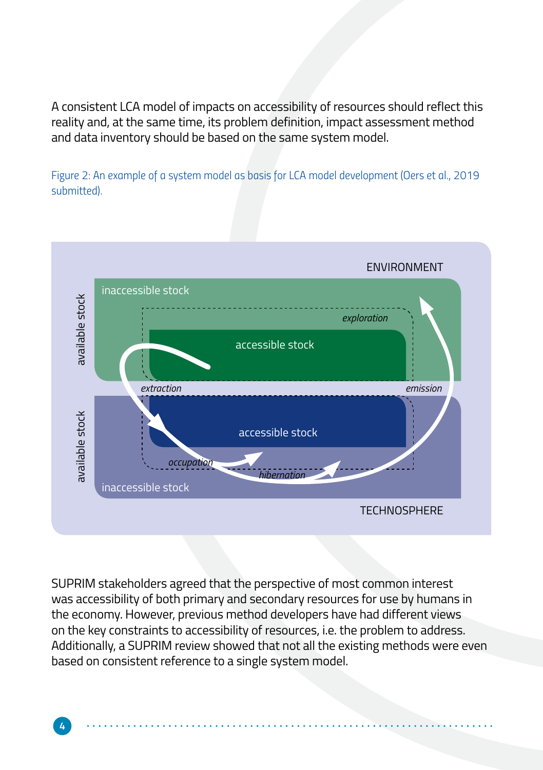A consistent LCA model of impacts on accessibility of resources should reflect this reality and, at the same time, its problem definition, impact assessment method and data inventory should be based on the same system model.

*Figure 2: An example of a system model as basis for LCA model development (Oers et al., 2019 submitted).*



SUPRIM stakeholders agreed that the perspective of most common interest was accessibility of both primary and secondary resources for use by humans in the economy. However, previous method developers have had different views on the key constraints to accessibility of resources, i.e. the problem to address. Additionally, a SUPRIM review showed that not all the existing methods were even based on consistent reference to a single system model.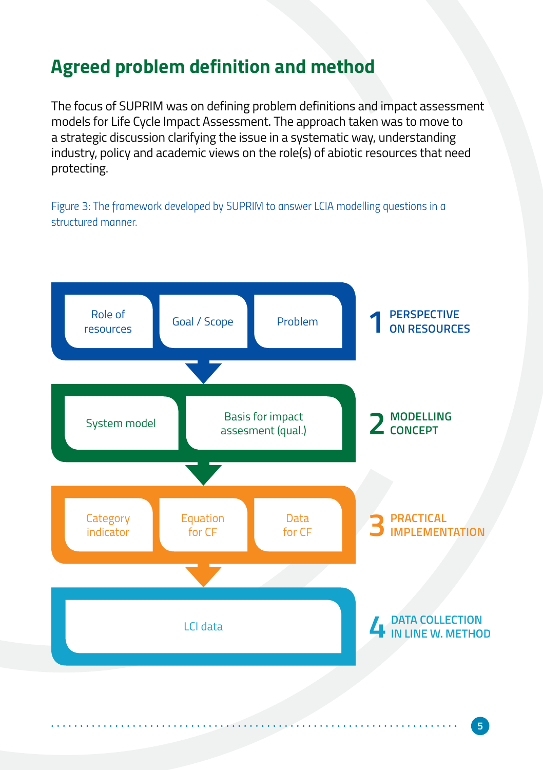## **Agreed problem definition and method**

The focus of SUPRIM was on defining problem definitions and impact assessment models for Life Cycle Impact Assessment. The approach taken was to move to a strategic discussion clarifying the issue in a systematic way, understanding industry, policy and academic views on the role(s) of abiotic resources that need protecting.

*Figure 3: The framework developed by SUPRIM to answer LCIA modelling questions in a structured manner.*

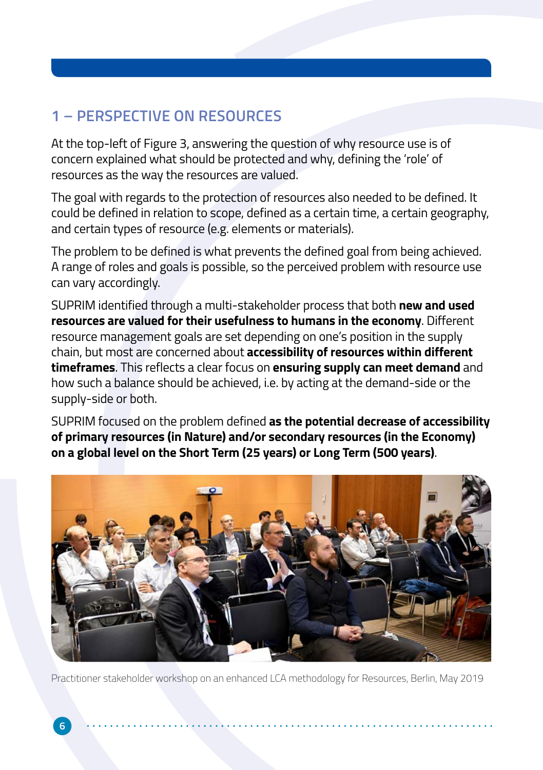## **1 – PERSPECTIVE ON RESOURCES**

At the top-left of Figure 3, answering the question of why resource use is of concern explained what should be protected and why, defining the 'role' of resources as the way the resources are valued.

The goal with regards to the protection of resources also needed to be defined. It could be defined in relation to scope, defined as a certain time, a certain geography, and certain types of resource (e.g. elements or materials).

The problem to be defined is what prevents the defined goal from being achieved. A range of roles and goals is possible, so the perceived problem with resource use can vary accordingly.

SUPRIM identified through a multi-stakeholder process that both **new and used resources are valued for their usefulness to humans in the economy**. Different resource management goals are set depending on one's position in the supply chain, but most are concerned about **accessibility of resources within different timeframes**. This reflects a clear focus on **ensuring supply can meet demand** and how such a balance should be achieved, i.e. by acting at the demand-side or the supply-side or both.

SUPRIM focused on the problem defined **as the potential decrease of accessibility of primary resources (in Nature) and/or secondary resources (in the Economy) on a global level on the Short Term (25 years) or Long Term (500 years)**.



Practitioner stakeholder workshop on an enhanced LCA methodology for Resources, Berlin, May 2019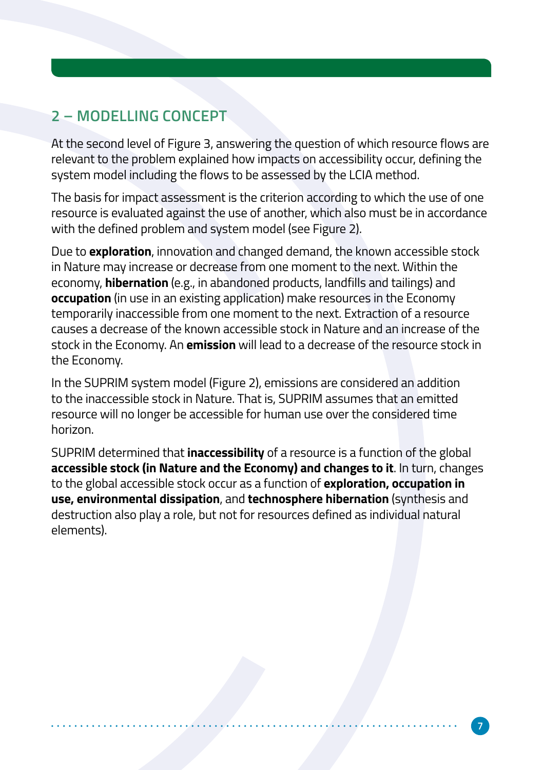## **2 – MODELLING CONCEPT**

At the second level of Figure 3, answering the question of which resource flows are relevant to the problem explained how impacts on accessibility occur, defining the system model including the flows to be assessed by the LCIA method.

The basis for impact assessment is the criterion according to which the use of one resource is evaluated against the use of another, which also must be in accordance with the defined problem and system model (see Figure 2).

Due to **exploration**, innovation and changed demand, the known accessible stock in Nature may increase or decrease from one moment to the next. Within the economy, **hibernation** (e.g., in abandoned products, landfills and tailings) and **occupation** (in use in an existing application) make resources in the Economy temporarily inaccessible from one moment to the next. Extraction of a resource causes a decrease of the known accessible stock in Nature and an increase of the stock in the Economy. An **emission** will lead to a decrease of the resource stock in the Economy.

In the SUPRIM system model (Figure 2), emissions are considered an addition to the inaccessible stock in Nature. That is, SUPRIM assumes that an emitted resource will no longer be accessible for human use over the considered time horizon.

SUPRIM determined that **inaccessibility** of a resource is a function of the global **accessible stock (in Nature and the Economy) and changes to it**. In turn, changes to the global accessible stock occur as a function of **exploration, occupation in use, environmental dissipation**, and **technosphere hibernation** (synthesis and destruction also play a role, but not for resources defined as individual natural elements).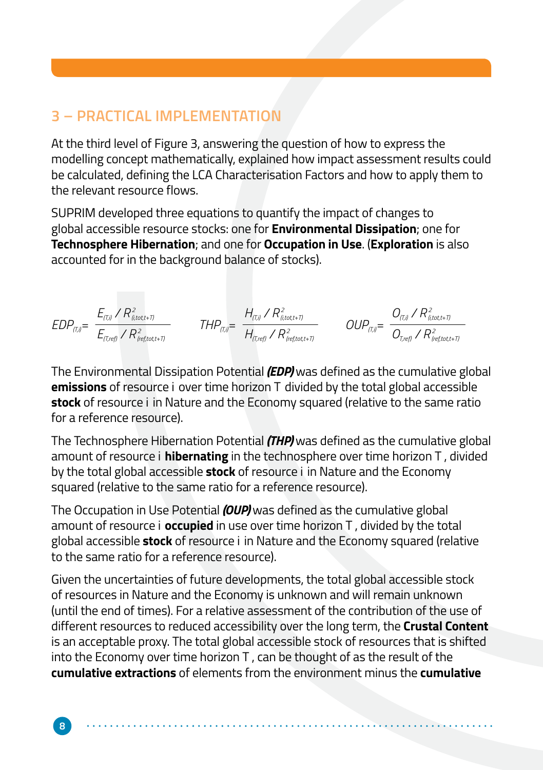#### **3 – PRACTICAL IMPLEMENTATION**

At the third level of Figure 3, answering the question of how to express the modelling concept mathematically, explained how impact assessment results could be calculated, defining the LCA Characterisation Factors and how to apply them to the relevant resource flows.

SUPRIM developed three equations to quantify the impact of changes to global accessible resource stocks: one for **Environmental Dissipation**; one for **Technosphere Hibernation**; and one for **Occupation in Use**. (**Exploration** is also accounted for in the background balance of stocks).

$$
EDP_{\text{ref}} = \frac{E_{\text{ref,1}}/R_{\text{dist,1}}^2}{E_{\text{ref,ref}}/R_{\text{ref,tot,1}}^2} \qquad \text{THP}_{\text{ref,2}} = \frac{H_{\text{ref,1}}/R_{\text{dist,1}}^2}{H_{\text{ref,ref}}/R_{\text{ref,tot,1}}^2} \qquad \text{OUP}_{\text{ref}} = \frac{O_{\text{ref,2}}/R_{\text{dist,1}}^2}{O_{\text{ref,ref,tot,1}}} \qquad \text{P}_{\text{ref,tot,1}} = \frac{O_{\text{ref,1}}/R_{\text{dist,1}}^2}{O_{\text{ref,tot,1}}/R_{\text{ref,tot,1}}^2}
$$

The Environmental Dissipation Potential *(EDP)* was defined as the cumulative global **emissions** of resource i over time horizon T divided by the total global accessible **stock** of resource i in Nature and the Economy squared (relative to the same ratio for a reference resource).

The Technosphere Hibernation Potential *(THP)* was defined as the cumulative global amount of resource i **hibernating** in the technosphere over time horizon T , divided by the total global accessible **stock** of resource i in Nature and the Economy squared (relative to the same ratio for a reference resource).

The Occupation in Use Potential *(OUP)* was defined as the cumulative global amount of resource i **occupied** in use over time horizon T , divided by the total global accessible **stock** of resource i in Nature and the Economy squared (relative to the same ratio for a reference resource).

Given the uncertainties of future developments, the total global accessible stock of resources in Nature and the Economy is unknown and will remain unknown (until the end of times). For a relative assessment of the contribution of the use of different resources to reduced accessibility over the long term, the **Crustal Content** is an acceptable proxy. The total global accessible stock of resources that is shifted into the Economy over time horizon T , can be thought of as the result of the **cumulative extractions** of elements from the environment minus the **cumulative**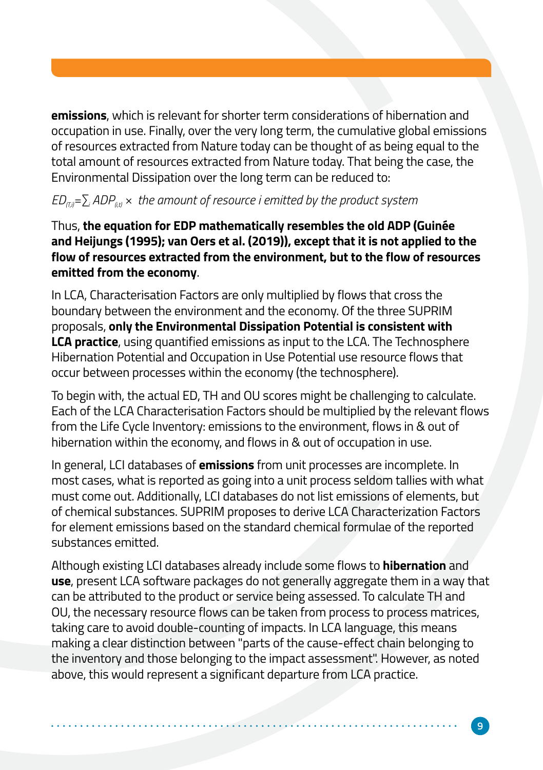**emissions**, which is relevant for shorter term considerations of hibernation and occupation in use. Finally, over the very long term, the cumulative global emissions of resources extracted from Nature today can be thought of as being equal to the total amount of resources extracted from Nature today. That being the case, the Environmental Dissipation over the long term can be reduced to:

#### *ED(T,i)=∑i ADP(i,t) × the amount of resource i emitted by the product system*

Thus, **the equation for EDP mathematically resembles the old ADP (Guinée and Heijungs (1995); van Oers et al. (2019)), except that it is not applied to the flow of resources extracted from the environment, but to the flow of resources emitted from the economy**.

In LCA, Characterisation Factors are only multiplied by flows that cross the boundary between the environment and the economy. Of the three SUPRIM proposals, **only the Environmental Dissipation Potential is consistent with LCA practice**, using quantified emissions as input to the LCA. The Technosphere Hibernation Potential and Occupation in Use Potential use resource flows that occur between processes within the economy (the technosphere).

To begin with, the actual ED, TH and OU scores might be challenging to calculate. Each of the LCA Characterisation Factors should be multiplied by the relevant flows from the Life Cycle Inventory: emissions to the environment, flows in & out of hibernation within the economy, and flows in & out of occupation in use.

In general, LCI databases of **emissions** from unit processes are incomplete. In most cases, what is reported as going into a unit process seldom tallies with what must come out. Additionally, LCI databases do not list emissions of elements, but of chemical substances. SUPRIM proposes to derive LCA Characterization Factors for element emissions based on the standard chemical formulae of the reported substances emitted.

Although existing LCI databases already include some flows to **hibernation** and **use**, present LCA software packages do not generally aggregate them in a way that can be attributed to the product or service being assessed. To calculate TH and OU, the necessary resource flows can be taken from process to process matrices, taking care to avoid double-counting of impacts. In LCA language, this means making a clear distinction between "parts of the cause-effect chain belonging to the inventory and those belonging to the impact assessment". However, as noted above, this would represent a significant departure from LCA practice.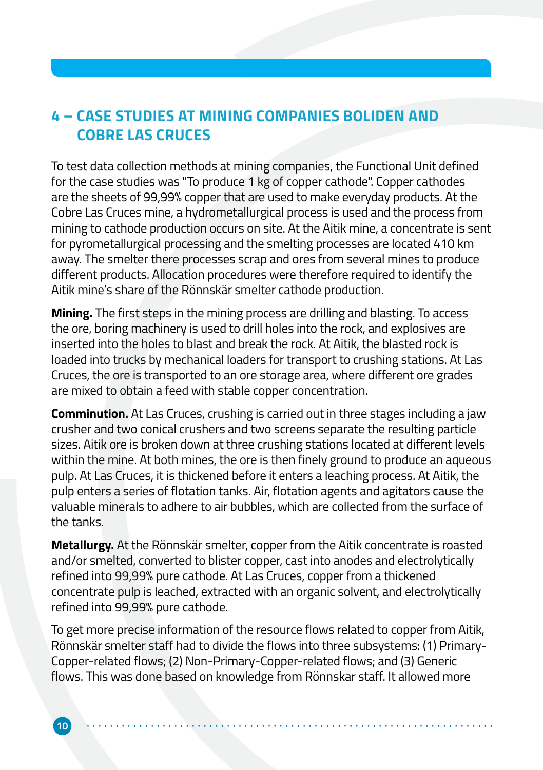### **4 – CASE STUDIES AT MINING COMPANIES BOLIDEN AND COBRE LAS CRUCES**

To test data collection methods at mining companies, the Functional Unit defined for the case studies was "To produce 1 kg of copper cathode". Copper cathodes are the sheets of 99,99% copper that are used to make everyday products. At the Cobre Las Cruces mine, a hydrometallurgical process is used and the process from mining to cathode production occurs on site. At the Aitik mine, a concentrate is sent for pyrometallurgical processing and the smelting processes are located 410 km away. The smelter there processes scrap and ores from several mines to produce different products. Allocation procedures were therefore required to identify the Aitik mine's share of the Rönnskär smelter cathode production.

**Mining.** The first steps in the mining process are drilling and blasting. To access the ore, boring machinery is used to drill holes into the rock, and explosives are inserted into the holes to blast and break the rock. At Aitik, the blasted rock is loaded into trucks by mechanical loaders for transport to crushing stations. At Las Cruces, the ore is transported to an ore storage area, where different ore grades are mixed to obtain a feed with stable copper concentration.

**Comminution.** At Las Cruces, crushing is carried out in three stages including a jaw crusher and two conical crushers and two screens separate the resulting particle sizes. Aitik ore is broken down at three crushing stations located at different levels within the mine. At both mines, the ore is then finely ground to produce an aqueous pulp. At Las Cruces, it is thickened before it enters a leaching process. At Aitik, the pulp enters a series of flotation tanks. Air, flotation agents and agitators cause the valuable minerals to adhere to air bubbles, which are collected from the surface of the tanks.

**Metallurgy.** At the Rönnskär smelter, copper from the Aitik concentrate is roasted and/or smelted, converted to blister copper, cast into anodes and electrolytically refined into 99,99% pure cathode. At Las Cruces, copper from a thickened concentrate pulp is leached, extracted with an organic solvent, and electrolytically refined into 99,99% pure cathode.

To get more precise information of the resource flows related to copper from Aitik, Rönnskär smelter staff had to divide the flows into three subsystems: (1) Primary-Copper-related flows; (2) Non-Primary-Copper-related flows; and (3) Generic flows. This was done based on knowledge from Rönnskar staff. It allowed more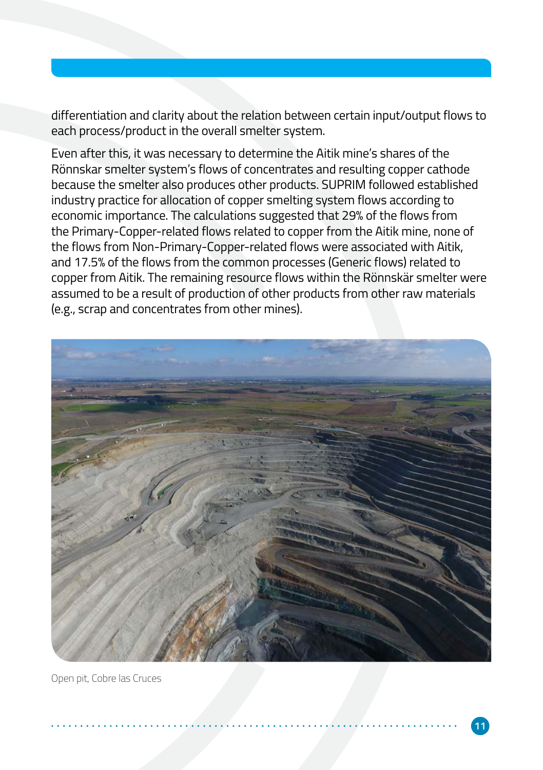differentiation and clarity about the relation between certain input/output flows to each process/product in the overall smelter system.

Even after this, it was necessary to determine the Aitik mine's shares of the Rönnskar smelter system's flows of concentrates and resulting copper cathode because the smelter also produces other products. SUPRIM followed established industry practice for allocation of copper smelting system flows according to economic importance. The calculations suggested that 29% of the flows from the Primary-Copper-related flows related to copper from the Aitik mine, none of the flows from Non-Primary-Copper-related flows were associated with Aitik, and 17.5% of the flows from the common processes (Generic flows) related to copper from Aitik. The remaining resource flows within the Rönnskär smelter were assumed to be a result of production of other products from other raw materials (e.g., scrap and concentrates from other mines).



Open pit, Cobre las Cruces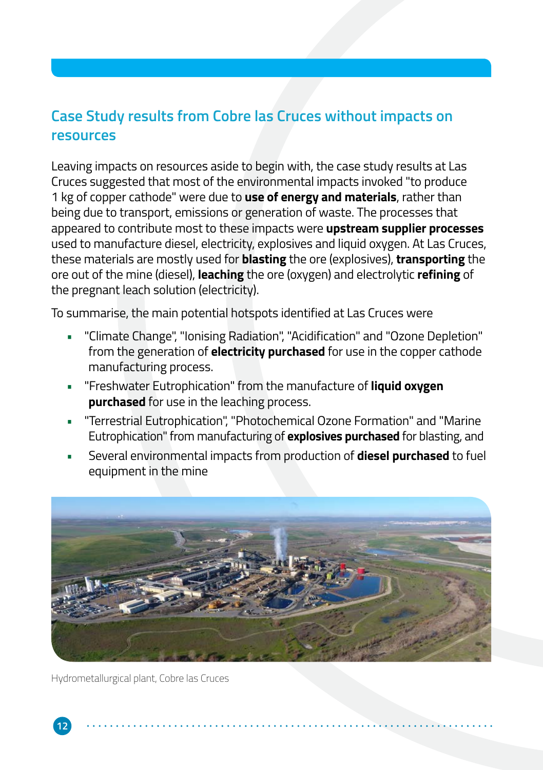### **Case Study results from Cobre las Cruces without impacts on resources**

Leaving impacts on resources aside to begin with, the case study results at Las Cruces suggested that most of the environmental impacts invoked "to produce 1 kg of copper cathode" were due to **use of energy and materials**, rather than being due to transport, emissions or generation of waste. The processes that appeared to contribute most to these impacts were **upstream supplier processes** used to manufacture diesel, electricity, explosives and liquid oxygen. At Las Cruces, these materials are mostly used for **blasting** the ore (explosives), **transporting** the ore out of the mine (diesel), **leaching** the ore (oxygen) and electrolytic **refining** of the pregnant leach solution (electricity).

To summarise, the main potential hotspots identified at Las Cruces were

- "Climate Change", "Ionising Radiation", "Acidification" and "Ozone Depletion" from the generation of **electricity purchased** for use in the copper cathode manufacturing process.
- "Freshwater Eutrophication" from the manufacture of **liquid oxygen purchased** for use in the leaching process.
- "Terrestrial Eutrophication", "Photochemical Ozone Formation" and "Marine Eutrophication" from manufacturing of **explosives purchased** for blasting, and
- Several environmental impacts from production of **diesel purchased** to fuel equipment in the mine



Hydrometallurgical plant, Cobre las Cruces

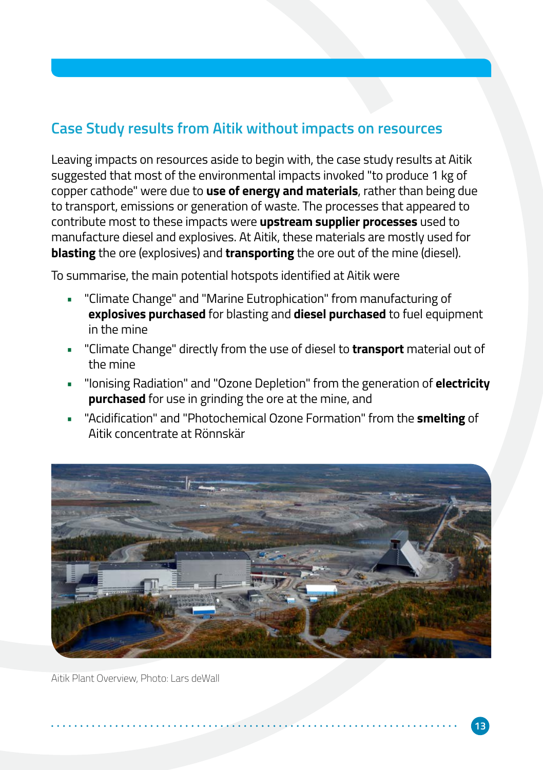#### **Case Study results from Aitik without impacts on resources**

Leaving impacts on resources aside to begin with, the case study results at Aitik suggested that most of the environmental impacts invoked "to produce 1 kg of copper cathode" were due to **use of energy and materials**, rather than being due to transport, emissions or generation of waste. The processes that appeared to contribute most to these impacts were **upstream supplier processes** used to manufacture diesel and explosives. At Aitik, these materials are mostly used for **blasting** the ore (explosives) and **transporting** the ore out of the mine (diesel).

To summarise, the main potential hotspots identified at Aitik were

- "Climate Change" and "Marine Eutrophication" from manufacturing of **explosives purchased** for blasting and **diesel purchased** to fuel equipment in the mine
- "Climate Change" directly from the use of diesel to **transport** material out of the mine
- "Ionising Radiation" and "Ozone Depletion" from the generation of **electricity purchased** for use in grinding the ore at the mine, and
- "Acidification" and "Photochemical Ozone Formation" from the **smelting** of Aitik concentrate at Rönnskär



Aitik Plant Overview, Photo: Lars deWall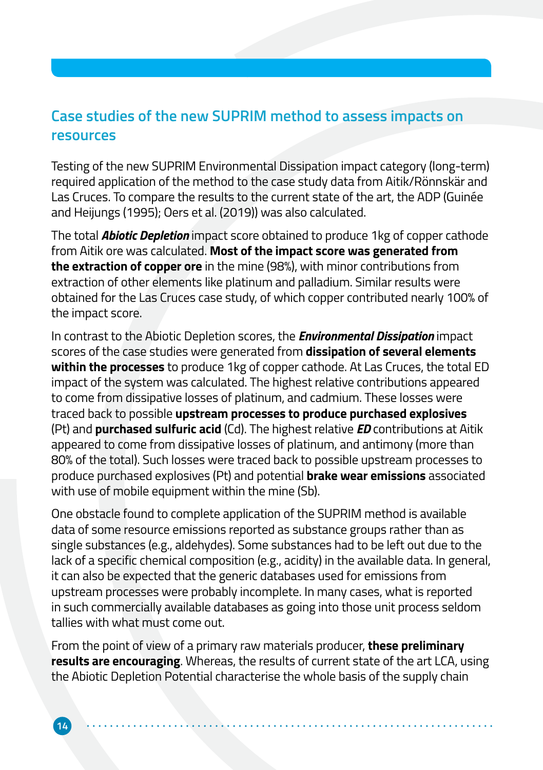#### **Case studies of the new SUPRIM method to assess impacts on resources**

Testing of the new SUPRIM Environmental Dissipation impact category (long-term) required application of the method to the case study data from Aitik/Rönnskär and Las Cruces. To compare the results to the current state of the art, the ADP (Guinée and Heijungs (1995); Oers et al. (2019)) was also calculated.

The total *Abiotic Depletion* impact score obtained to produce 1kg of copper cathode from Aitik ore was calculated. **Most of the impact score was generated from the extraction of copper ore** in the mine (98%), with minor contributions from extraction of other elements like platinum and palladium. Similar results were obtained for the Las Cruces case study, of which copper contributed nearly 100% of the impact score.

In contrast to the Abiotic Depletion scores, the *Environmental Dissipation* impact scores of the case studies were generated from **dissipation of several elements within the processes** to produce 1kg of copper cathode. At Las Cruces, the total ED impact of the system was calculated. The highest relative contributions appeared to come from dissipative losses of platinum, and cadmium. These losses were traced back to possible **upstream processes to produce purchased explosives** (Pt) and **purchased sulfuric acid** (Cd). The highest relative *ED* contributions at Aitik appeared to come from dissipative losses of platinum, and antimony (more than 80% of the total). Such losses were traced back to possible upstream processes to produce purchased explosives (Pt) and potential **brake wear emissions** associated with use of mobile equipment within the mine (Sb).

One obstacle found to complete application of the SUPRIM method is available data of some resource emissions reported as substance groups rather than as single substances (e.g., aldehydes). Some substances had to be left out due to the lack of a specific chemical composition (e.g., acidity) in the available data. In general, it can also be expected that the generic databases used for emissions from upstream processes were probably incomplete. In many cases, what is reported in such commercially available databases as going into those unit process seldom tallies with what must come out.

From the point of view of a primary raw materials producer, **these preliminary results are encouraging**. Whereas, the results of current state of the art LCA, using the Abiotic Depletion Potential characterise the whole basis of the supply chain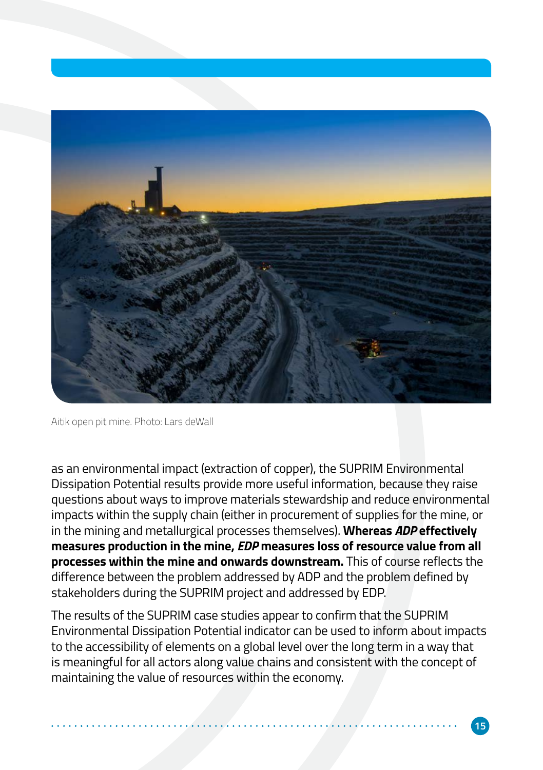

Aitik open pit mine. Photo: Lars deWall

as an environmental impact (extraction of copper), the SUPRIM Environmental Dissipation Potential results provide more useful information, because they raise questions about ways to improve materials stewardship and reduce environmental impacts within the supply chain (either in procurement of supplies for the mine, or in the mining and metallurgical processes themselves). **Whereas** *ADP* **effectively measures production in the mine,** *EDP* **measures loss of resource value from all processes within the mine and onwards downstream.** This of course reflects the difference between the problem addressed by ADP and the problem defined by stakeholders during the SUPRIM project and addressed by EDP.

The results of the SUPRIM case studies appear to confirm that the SUPRIM Environmental Dissipation Potential indicator can be used to inform about impacts to the accessibility of elements on a global level over the long term in a way that is meaningful for all actors along value chains and consistent with the concept of maintaining the value of resources within the economy.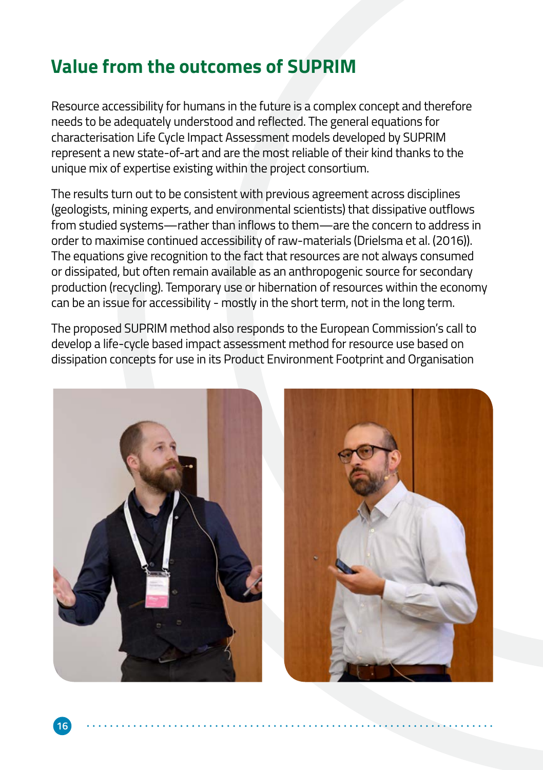## **Value from the outcomes of SUPRIM**

Resource accessibility for humans in the future is a complex concept and therefore needs to be adequately understood and reflected. The general equations for characterisation Life Cycle Impact Assessment models developed by SUPRIM represent a new state-of-art and are the most reliable of their kind thanks to the unique mix of expertise existing within the project consortium.

The results turn out to be consistent with previous agreement across disciplines (geologists, mining experts, and environmental scientists) that dissipative outflows from studied systems—rather than inflows to them—are the concern to address in order to maximise continued accessibility of raw-materials (Drielsma et al. (2016)). The equations give recognition to the fact that resources are not always consumed or dissipated, but often remain available as an anthropogenic source for secondary production (recycling). Temporary use or hibernation of resources within the economy can be an issue for accessibility - mostly in the short term, not in the long term.

The proposed SUPRIM method also responds to the European Commission's call to develop a life-cycle based impact assessment method for resource use based on dissipation concepts for use in its Product Environment Footprint and Organisation

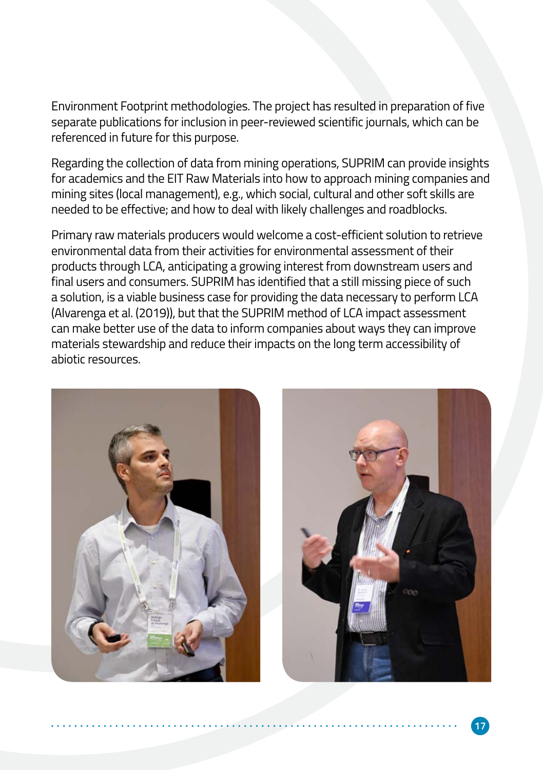Environment Footprint methodologies. The project has resulted in preparation of five separate publications for inclusion in peer-reviewed scientific journals, which can be referenced in future for this purpose.

Regarding the collection of data from mining operations, SUPRIM can provide insights for academics and the EIT Raw Materials into how to approach mining companies and mining sites (local management), e.g., which social, cultural and other soft skills are needed to be effective; and how to deal with likely challenges and roadblocks.

Primary raw materials producers would welcome a cost-efficient solution to retrieve environmental data from their activities for environmental assessment of their products through LCA, anticipating a growing interest from downstream users and final users and consumers. SUPRIM has identified that a still missing piece of such a solution, is a viable business case for providing the data necessary to perform LCA (Alvarenga et al. (2019)), but that the SUPRIM method of LCA impact assessment can make better use of the data to inform companies about ways they can improve materials stewardship and reduce their impacts on the long term accessibility of abiotic resources.

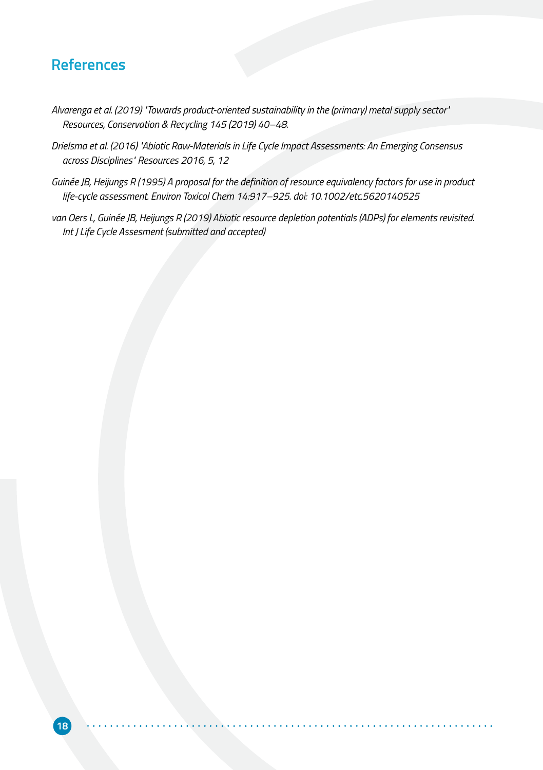#### **References**

- *Alvarenga et al. (2019) "Towards product-oriented sustainability in the (primary) metal supply sector" Resources, Conservation & Recycling 145 (2019) 40–48.*
- *Drielsma et al. (2016) "Abiotic Raw-Materials in Life Cycle Impact Assessments: An Emerging Consensus across Disciplines" Resources 2016, 5, 12*
- *Guinée JB, Heijungs R (1995) A proposal for the definition of resource equivalency factors for use in product life-cycle assessment. Environ Toxicol Chem 14:917–925. doi: 10.1002/etc.5620140525*
- van Oers L, Guinée JB, Heijungs R (2019) Abiotic resource depletion potentials (ADPs) for elements revisited. *Int J Life Cycle Assesment (submitted and accepted)*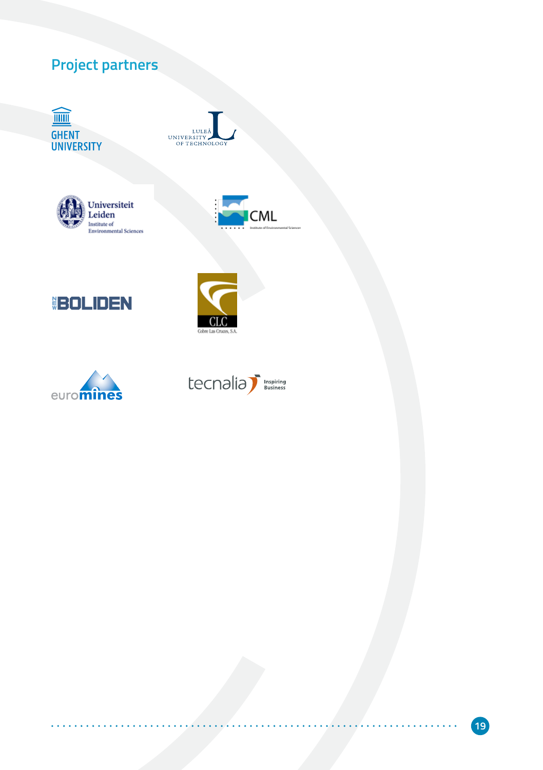# **Project partners**